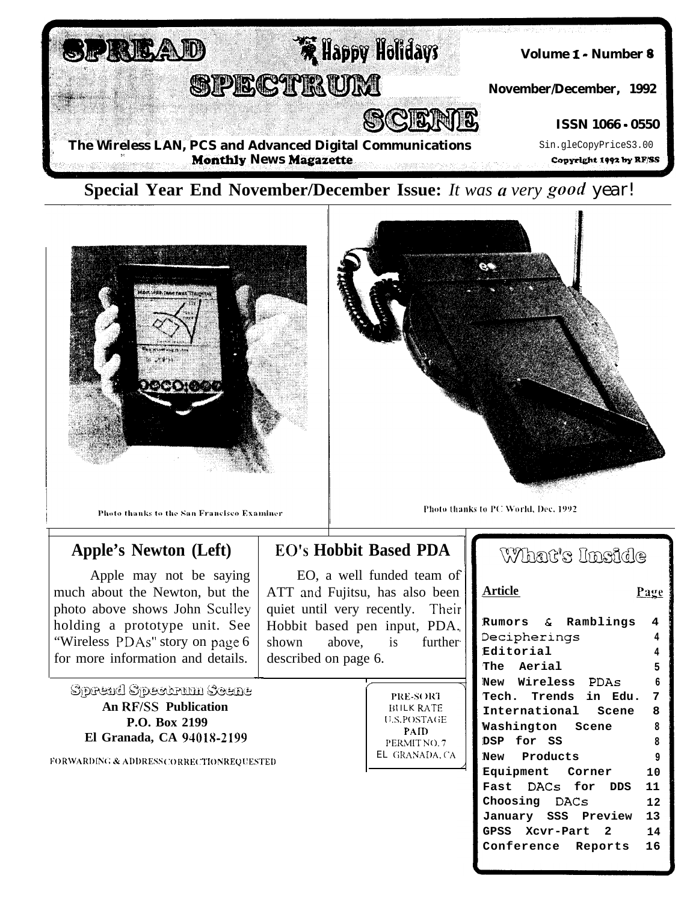



Photo thanks to the San Francisco Examiner

## **Apple's Newton (Left)**

Apple may not be saying much about the Newton, but the photo above shows John Sculley holding a prototype unit. See "Wireless PDAs" story on page 6 for more information and details.

Spread Spectrum Scene **An RF/SS Publication** P.O. Box 2199 El Granada, CA 94018-2199

**FORWARDING & ADDRESS CORRECTIONREOUESTED** 

## **EO's Hobbit Based PDA**

EO, a well funded team of ATT and Fujitsu, has also been quiet until very recently. Their Hobbit based pen input, PDA. shown above. is further<sup>.</sup> described on page 6.

PRE-SORT **BULK RATE U.S.POSTAGE** PAID PERMIT NO.7 EL GRANADA, CA

## What's Inside

| <b>Article</b>       | Page |
|----------------------|------|
| Rumors & Ramblings   | 4    |
| Decipherings         | 4    |
| Editorial            | 4    |
| The Aerial           | 5    |
| New Wireless PDAs    | 6    |
| Tech. Trends in Edu. | 7    |
| International Scene  | 8    |
| Washington Scene     | 8    |
| DSP for SS           | 8    |
| New Products         | 9    |
| Equipment Corner     | 10   |
| Fast DACs for DDS    | 11   |
| Choosing DACs        | 12   |
| January SSS Preview  | 13   |
| GPSS Xcvr-Part 2     | 14   |
| Conference Reports   | 16   |
|                      |      |



Photo thanks to PC World, Dec. 1992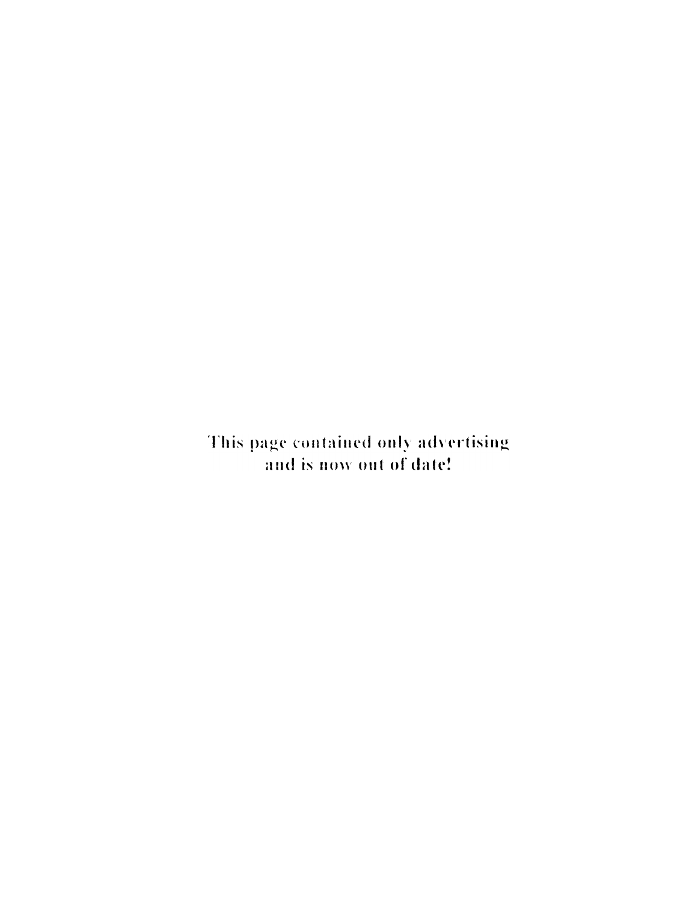This page contained only advertising and is now out of date!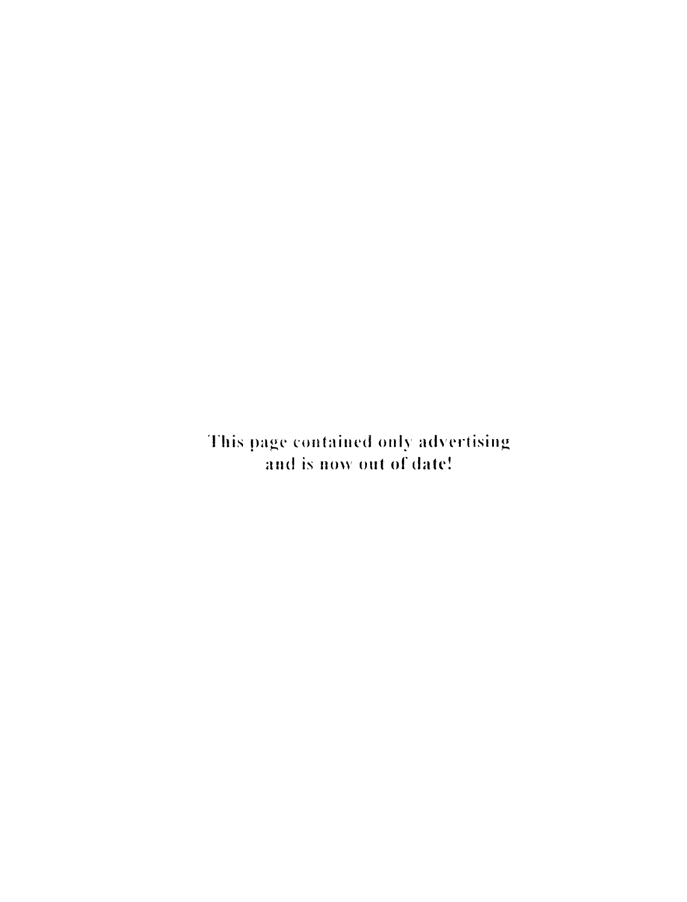This page contained only advertising and is now out of date!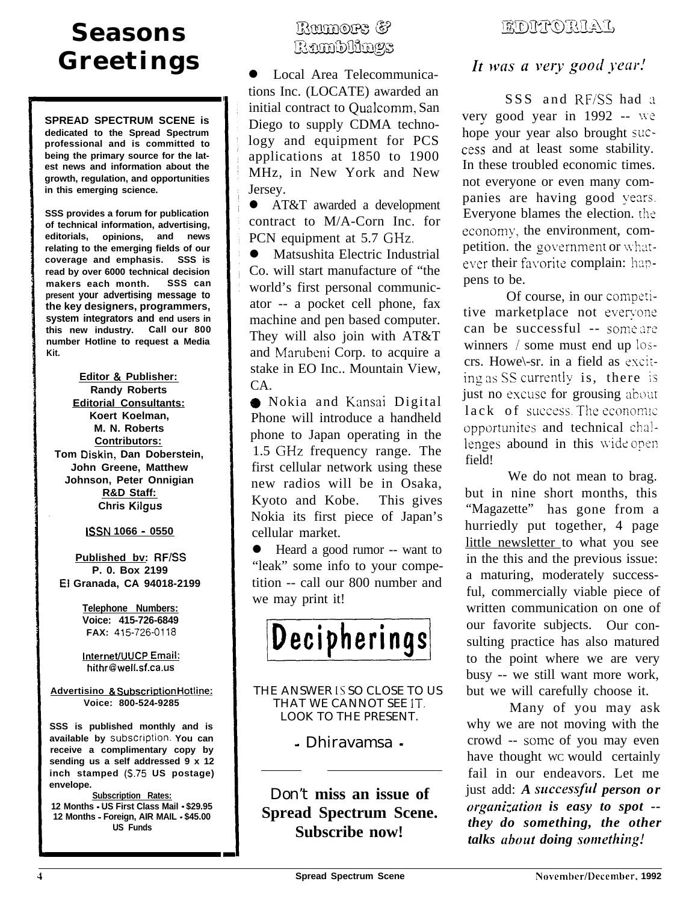## **Seasons Greetings**

**SPREAD SPECTRUM SCENE is dedicated to the Spread Spectrum professional and is committed to being the primary source for the latest news and information about the growth, regulation, and opportunities in this emerging science.**

**SSS provides a forum for publication of technical information, advertising, editorials, opinions, and news relating to the emerging fields of our coverage and emphasis. SSS is read by over 6000 technical decision makers each month. SSS can present your advertising message to the key designers, programmers, system integrators and end users in this new industry. Call our 800 number Hotline to request a Media Kit.**

**Editor & Publisher: Randy Roberts Editorial Consultants: Koert Koelman, M. N. Roberts Contributors: Tom Diskin, Dan Doberstein, John Greene, Matthew Johnson, Peter Onnigian R&D Staff: Chris Kilgus**

**ISSN 1066 - 0550**

**Published bv: RFISS P. 0. Box 2199 El Granada, CA 94018-2199**

> **Telephone Numbers: Voice: 415-726-6849 FAX: 415-726-0118**

> **InterneWUCP Email: hithr@well.sf.ca.us**

**Advertisino & SubscriptionHotline: Voice: 800-524-9285**

**SSS is published monthly and is** available by subscription. You can **receive a complimentary copy by sending us a self addressed 9 x 12 inch stamped (5.75 US postage) envelope.**

**Subscription Rates: 12 Months - US First Class Mail - \$29.95 12 Months - Foreign, AIR MAIL - \$45.00 US Funds**

## Ramors & Ramblings

l Local Area Telecommunications Inc. (LOCATE) awarded an initial contract to Qualcomm, San Diego to supply CDMA technology and equipment for PCS applications at 1850 to 1900 MHz, in New York and New Jersey.

**•** AT&T awarded a development contract to M/A-Corn Inc. for PCN equipment at 5.7 GHz.

 $\bullet$  Matsushita Electric Industrial Co. will start manufacture of "the world's first personal communicator -- a pocket cell phone, fax machine and pen based computer. They will also join with AT&T and Marubeni Corp. to acquire a stake in EO Inc.. Mountain View, CA.

() Nokia and Kansai Digital Phone will introduce a handheld phone to Japan operating in the 1.5 GHz frequency range. The first cellular network using these new radios will be in Osaka, Kyoto and Kobe. This gives Nokia its first piece of Japan's cellular market.

• Heard a good rumor -- want to "leak" some info to your competition -- call our 800 number and we may print it!

Decipherings

THE ANSWER IS SO CLOSE TO US THAT WE CANNOT SEE IT. LOOK TO THE PRESENT.

- Dhiravamsa -

Don't **miss an issue of Spread Spectrum Scene. Subscribe now!**

## ELANTORIAI,

### It was a very good year!

SSS and RF/SS had a verv good year in  $1992 -$  we hope your year also brought success and at least some stability. In these troubled economic times. not everyone or even many companies are having good years. Everyone blames the election. the economy', the environment, competition. the government or whatever their favorite complain: happens to be.

Of course, in our competitive marketplace not everyone can be successful -- some are winners / some must end up loscrs. Howe\-sr. in a field as exciting as SS currently is, there is just no excuse for grousing about lack of success. The economic opportunites and technical challenges abound in this wide open field!

We do not mean to brag. but in nine short months, this "Magazette" has gone from a hurriedly put together, 4 page little newsletter to what you see in the this and the previous issue: a maturing, moderately successful, commercially viable piece of written communication on one of our favorite subjects. Our consulting practice has also matured to the point where we are very busy -- we still want more work, but we will carefully choose it.

Many of you may ask why we are not moving with the crowd -- some of you may even have thought WC would certainly fail in our endeavors. Let me just add: *A* successful *person or orgcmi,-utiort is easy to spot - they do something, the other talks about doing something!*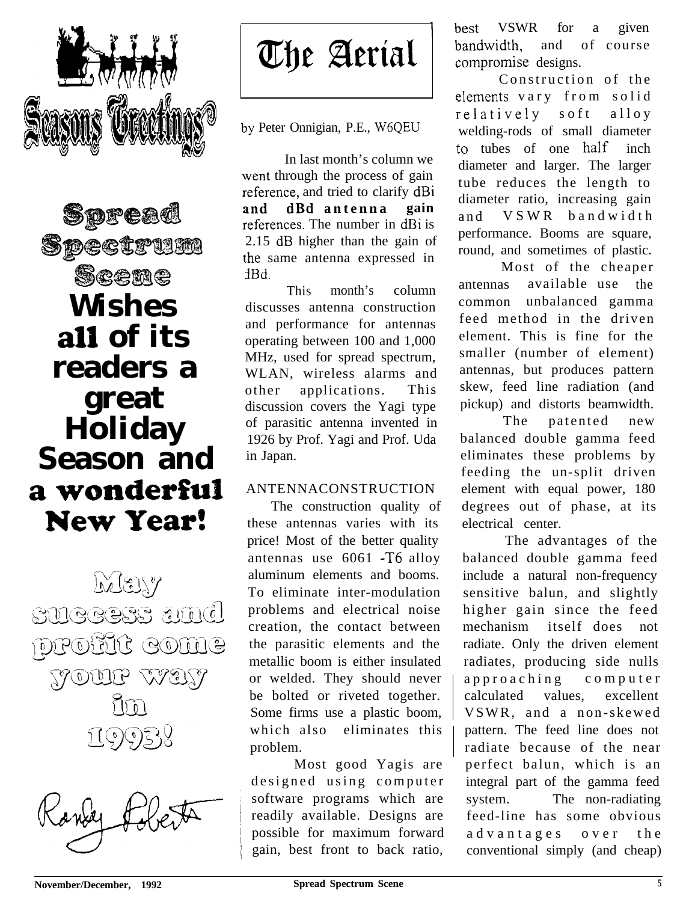

Spread Spectrum Scene **Wishes all of its readers a great Holiday Season and** a wonderful **New Year!** 

May SUGGESS amd profit come TOUP WET In 19938



The Aerial

I

by Peter Onnigian, P.E., W6QEU

1 :he same antenna expressed in In last month's column we vent through the process of gain reference, and tried to clarify dBi **Ind dBd antenna gain** references. The number in dBi is 2.15 dB higher than the gain of JBd.

This month's column discusses antenna construction and performance for antennas operating between 100 and 1,000 MHz, used for spread spectrum, WLAN, wireless alarms and other applications. This discussion covers the Yagi type of parasitic antenna invented in 1926 by Prof. Yagi and Prof. Uda in Japan.

### ANTENNACONSTRUCTION

The construction quality of these antennas varies with its price! Most of the better quality antennas use 6061 -T6 alloy aluminum elements and booms. To eliminate inter-modulation problems and electrical noise creation, the contact between the parasitic elements and the metallic boom is either insulated or welded. They should never be bolted or riveted together. Some firms use a plastic boom, which also eliminates this problem.

Most good Yagis are designed using computer software programs which are readily available. Designs are possible for maximum forward gain, best front to back ratio,

best VSWR for a given bandwidth, and of course :ompromise designs.

Construction of the elements vary from solid relatively soft alloy welding-rods of small diameter to tubes of one half inch diameter and larger. The larger tube reduces the length to diameter ratio, increasing gain and VSWR bandwidth performance. Booms are square, round, and sometimes of plastic.

Most of the cheaper antennas available use the common unbalanced gamma feed method in the driven element. This is fine for the smaller (number of element) antennas, but produces pattern skew, feed line radiation (and pickup) and distorts beamwidth.

The patented new balanced double gamma feed eliminates these problems by feeding the un-split driven element with equal power, 180 degrees out of phase, at its electrical center.

The advantages of the balanced double gamma feed include a natural non-frequency sensitive balun, and slightly higher gain since the feed mechanism itself does not radiate. Only the driven element radiates, producing side nulls approaching computer calculated values, excellent VSWR, and a non-skewed pattern. The feed line does not radiate because of the near perfect balun, which is an integral part of the gamma feed system. The non-radiating feed-line has some obvious advantages over the conventional simply (and cheap)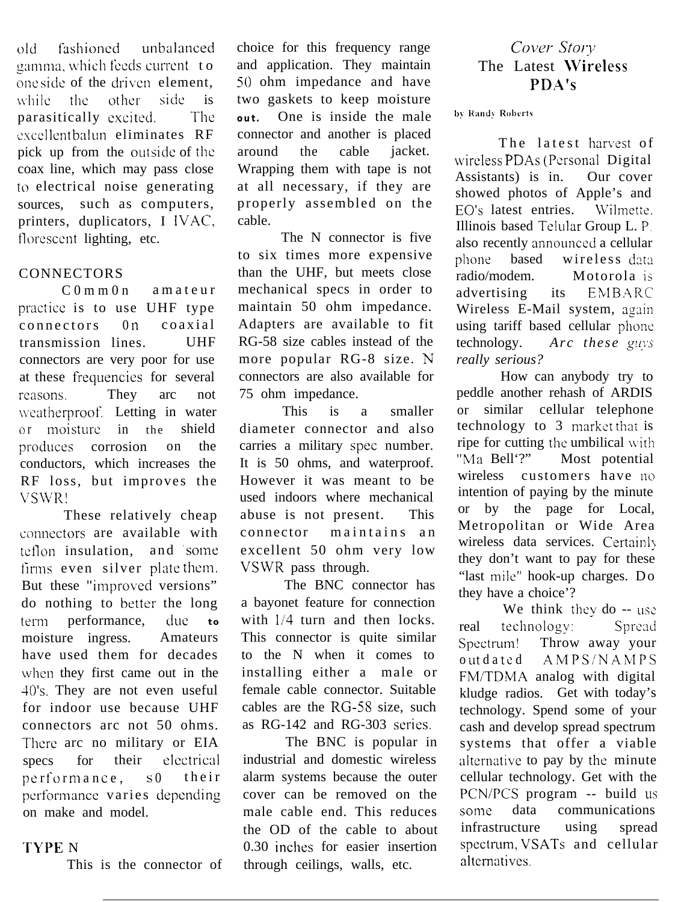old fashioned unbalanced gamma, which feeds current to one side of the driven element, while the other side is parasitically excited. The excellent balun eliminates RF pick up from the outside of the coax line, which may pass close to electrical noise generating sources, such as computers, printers, duplicators, I IVAC, florescent lighting, etc.

### **CONNECTORS**

C 0 m m 0 n a m a teur practice is to use UHF type connectors 0n coaxial transmission lines. UHF connectors are very poor for use at these frequencies for several reasons. They arc not weatherproof. Letting in water or moisture in the shield produces corrosion on the conductors, which increases the RF loss, but improves the VSIVR!

These relatively cheap connectors are available with teflon insulation, and some lirms even silver plate them. But these "improved versions" do nothing to better the long term performance, due to moisture ingress. Amateurs have used them for decades when they first came out in the 40's. They are not even useful for indoor use because UHF connectors arc not 50 ohms. There arc no military or EIA specs for their electrical performance, s0 their performance varies depending on make and model.

### 'rYPE N

This is the connector of

choice for this frequency range and application. They maintain 50 ohm impedance and have two gaskets to keep moisture **out.** One is inside the male connector and another is placed around the cable jacket. Wrapping them with tape is not at all necessary, if they are properly assembled on the cable.

The N connector is five to six times more expensive than the UHF, but meets close mechanical specs in order to maintain 50 ohm impedance. Adapters are available to fit RG-58 size cables instead of the more popular RG-8 size. N connectors are also available for 75 ohm impedance.

This is a smaller diameter connector and also carries a military spec number. It is 50 ohms, and waterproof. However it was meant to be used indoors where mechanical abuse is not present. This connector maintains an excellent 50 ohm very low VSWR pass through.

The BNC connector has a bayonet feature for connection with  $1/4$  turn and then locks. This connector is quite similar to the N when it comes to installing either a male or female cable connector. Suitable cables are the RG-58 size, such as RG-142 and RG-303 series.

The BNC is popular in industrial and domestic wireless alarm systems because the outer cover can be removed on the male cable end. This reduces the OD of the cable to about 0.30 inches for easier insertion through ceilings, walls, etc.

### Cover Story The Latest \Vireless PDA's

by Randy Roberts

The latest harvest of wireless PDAs (Personal Digital Assistants) is in. Our cover showed photos of Apple's and EO's latest entries. Wilmette. Illinois based Telular Group L. P. also recently announced a cellular phone based wireless data radio/modem. Motorola is advertising its EMBARC Wireless E-Mail system, again using tariff based cellular phone technology. *Arc these guys really serious?*

How can anybody try to peddle another rehash of ARDIS or similar cellular telephone technology to 3 market that is ripe for cutting the umbilical with "Ma Bell'?" Most potential wireless customers have **no** intention of paying by the minute or by the page for Local, Metropolitan or Wide Area wireless data services. Certainly they don't want to pay for these "last mile" hook-up charges. Do they have a choice'?

We think they do -- use real technology: Spread Spectrum! Throw away your outdated AMPS/NAMPS FM/TDMA analog with digital kludge radios. Get with today's technology. Spend some of your cash and develop spread spectrum systems that offer a viable alternative to pay by the minute cellular technology. Get with the PCN/PCS program -- build **us some** data communications infrastructure using spread spectrum, VSATs and cellular alternatives.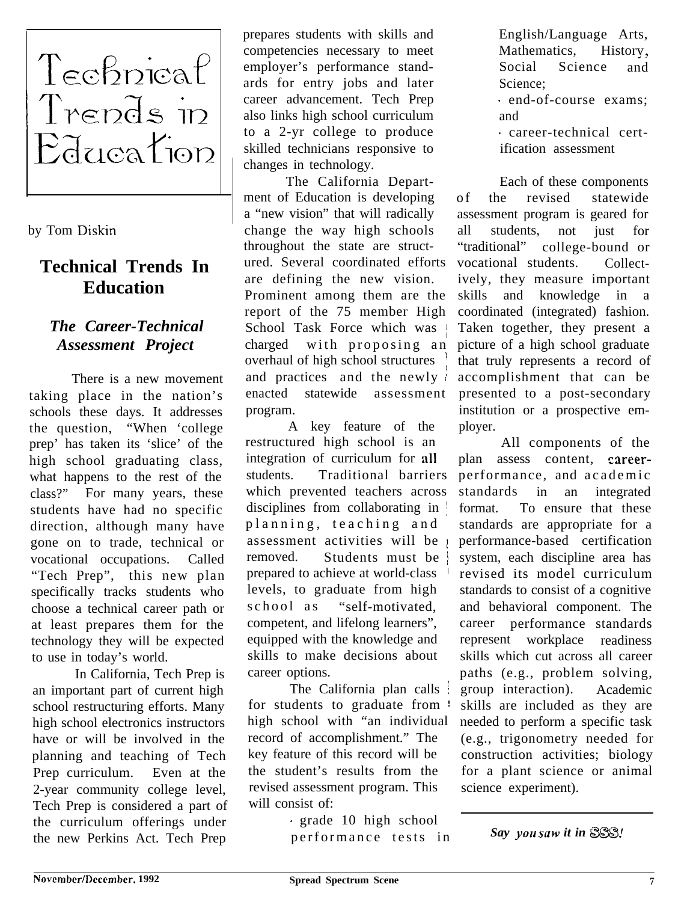

by Tom Diskin

## **Technical Trends In Education**

## *The Career-Technical Assessment Project*

There is a new movement taking place in the nation's schools these days. It addresses the question, "When 'college prep' has taken its 'slice' of the high school graduating class, what happens to the rest of the class?" For many years, these students have had no specific direction, although many have gone on to trade, technical or vocational occupations. Called "Tech Prep", this new plan specifically tracks students who choose a technical career path or at least prepares them for the technology they will be expected to use in today's world.

In California, Tech Prep is an important part of current high school restructuring efforts. Many high school electronics instructors have or will be involved in the planning and teaching of Tech Prep curriculum. Even at the 2-year community college level, Tech Prep is considered a part of the curriculum offerings under the new Perkins Act. Tech Prep

prepares students with skills and competencies necessary to meet employer's performance standards for entry jobs and later career advancement. Tech Prep also links high school curriculum to a 2-yr college to produce skilled technicians responsive to changes in technology.

The California Department of Education is developing a "new vision" that will radically change the way high schools throughout the state are structured. Several coordinated efforts are defining the new vision. Prominent among them are the report of the 75 member High School Task Force which was charged with proposing an overhaul of high school structures and practices and the newly enacted statewide assessment program.

A key feature of the restructured high school is an integration of curriculum for all students. Traditional barriers which prevented teachers across disciplines from collaborating in  $\frac{1}{2}$ planning, teaching and assessment activities will be <sup>1</sup> removed. Students must be prepared to achieve at world-class ' levels, to graduate from high school as "self-motivated, competent, and lifelong learners", equipped with the knowledge and skills to make decisions about career options.

The California plan calls  $\frac{1}{2}$ for students to graduate from  $\pm$ high school with "an individual record of accomplishment." The key feature of this record will be the student's results from the revised assessment program. This will consist of:

> . grade 10 high school performance tests in

English/Language Arts, Mathematics, History,<br>Social Science and Science Science;

. end-of-course exams; and

. career-technical certification assessment

Each of these components of the revised statewide assessment program is geared for all students, not just for<br>"traditional" college-bound or college-bound or vocational students. Collectively, they measure important skills and knowledge in a coordinated (integrated) fashion. Taken together, they present a picture of a high school graduate that truly represents a record of accomplishment that can be presented to a post-secondary institution or a prospective employer.

All components of the plan assess content, careerperformance, and academic standards in an integrated format. To ensure that these standards are appropriate for a performance-based certification system, each discipline area has revised its model curriculum standards to consist of a cognitive and behavioral component. The career performance standards represent workplace readiness skills which cut across all career paths (e.g., problem solving, group interaction). Academic skills are included as they are needed to perform a specific task (e.g., trigonometry needed for construction activities; biology for a plant science or animal science experiment).

*Say you saw it in SSS!*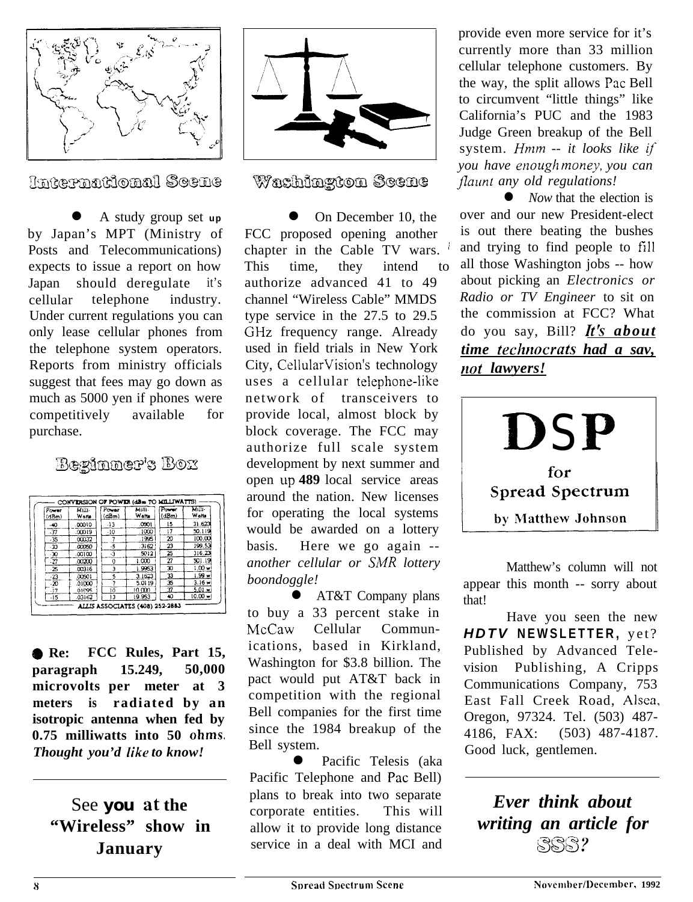

International Scene

l A study group set **up** by Japan's MPT (Ministry of Posts and Telecommunications) expects to issue a report on how Japan should deregulate it's cellular telephone industry. Under current regulations you can only lease cellular phones from the telephone system operators. Reports from ministry officials suggest that fees may go down as much as 5000 yen if phones were competitively available for purchase.

## **Beginner's Box**

| Power<br>(dBm) | Mills-<br>Watte | Power<br>(dBm) | Milli-<br>Watts | Power<br>(dBm)           | Milli-<br>Watts |
|----------------|-----------------|----------------|-----------------|--------------------------|-----------------|
| $-40$          | .00010          | $-13$          | 0001            | 15                       | 31.623          |
| .37            | .00019          | -10            | .1000           | ī7                       | 50.119          |
| $-35$          | .00032          | 7              | .1995           | 20                       | 100.00          |
| $\cdot$ 33     | .cooso          | $\cdot$ 5      | .3162           | 23                       | 199.53          |
| $-30$          | .00100          | -3             | 5012            | 25                       | 316.23          |
| -27            | .00200          | O              | 1.000           | $\overline{\mathcal{D}}$ | 501.19          |
| -25            | .00316          | 3              | 1.9963          | 30                       | 1.00w           |
| $-23$          | 00501           | 5              | 3.1623          | 33                       | 1.99 w          |
| $-20$          | .01000          | 7              | 5.0119          | 35                       | $3.16 \times$   |
| .17            | 01995           | 10             | 10.000          | 37                       | $5.01 -$        |
| $-15$          | .03162          | 13             | 19.953          | 40                       | $10.00 -$       |

8 **Re: FCC Rules, Part 15, paragraph 15.249, 50,000 microvolts per meter at 3 meters is radiated by an isotropic antenna when fed by 0.75 milliwatts into 50 ohms** *Thought you'd like to know!*

## See **you** at **the "Wireless" show in January**



### Washington Scene

On December 10, the FCC proposed opening another chapter in the Cable TV wars. This time, they intend to authorize advanced 41 to 49 channel "Wireless Cable" MMDS type service in the 27.5 to 29.5 GHz frequency range. Already used in field trials in New York City, CellularVision's technology uses a cellular telephone-iike network of transceivers to provide local, almost block by block coverage. The FCC may authorize full scale system development by next summer and open **up 489** local service areas around the nation. New licenses for operating the local systems would be awarded on a lottery basis. Here we go again - *another cellular or SMR lottery boondoggle!*

l AT&T Company plans to buy a 33 percent stake in McCaw Cellular Communications, based in Kirkland, Washington for \$3.8 billion. The pact would put AT&T back in competition with the regional Bell companies for the first time since the 1984 breakup of the Bell system.

Pacific Telesis (aka Pacific Telephone and Pac Bell) plans to break into two separate corporate entities. This will allow it to provide long distance service in a deal with MCI and

provide even more service for it's currently more than 33 million cellular telephone customers. By the way, the split allows Pac Bell to circumvent "little things" like California's PUC and the 1983 Judge Green breakup of the Bell system. *Hmm -- it looks like if you have enough mone\_y, you can flaunt any old regulations!* 

*Now* that the election is over and our new President-elect is out there beating the bushes and trying to find people to fill all those Washington jobs -- how about picking an *Electronics or Radio or TV Engineer* to sit on the commission at FCC? What do you say, Bill? *It's about time techrrocrnts had a sav, not lawyers!*



Matthew's column will not appear this month -- sorry about that!

Have you seen the new *HDTV* **NEWSLETTER,** yet? Published by Advanced Television Publishing, A Cripps Communications Company, 753 East Fall Creek Road, Alsea, Oregon, 97324. Tel. (503) 487- 4186, FAX: (503) 487-4187. Good luck, gentlemen.

*Ever think about writing an article for gg@?*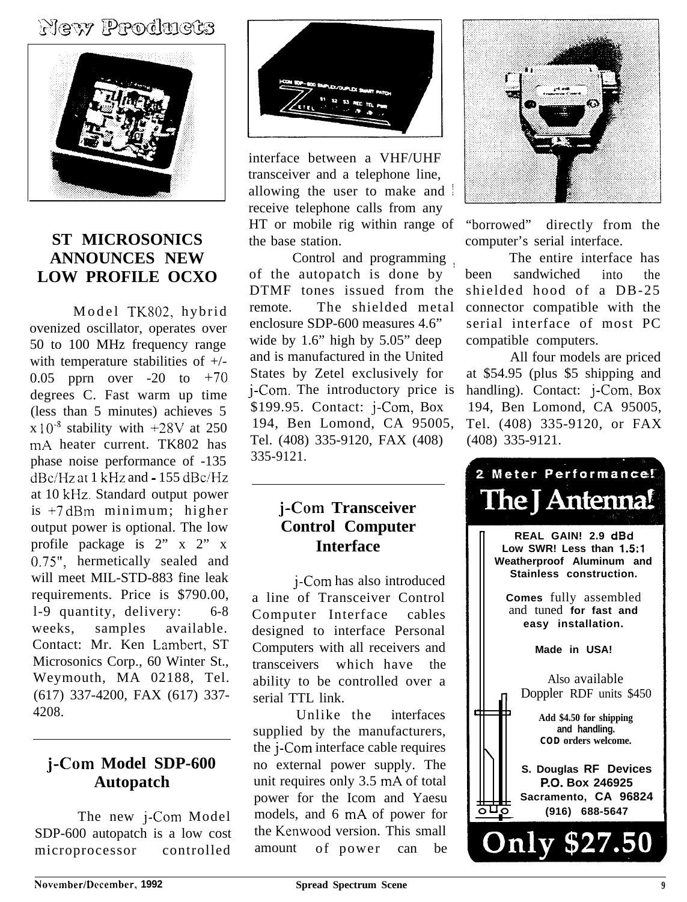## **New Products**



### **ST MICROSONICS ANNOUNCES NEW LOW PROFILE OCXO**

Model TK802, hybrid ovenized oscillator, operates over 50 to 100 MHz frequency range with temperature stabilities of +/- 0.05 pprn over  $-20$  to  $+70$ degrees C. Fast warm up time (less than 5 minutes) achieves 5  $x 10^{-8}$  stability with  $+28V$  at 250 mA heater current. TK802 has phase noise performance of -135  $dBc/Hz$  at 1 kHz and  $-155$  dBc/Hz at 10 kHz. Standard output power is +7 dBm minimum; higher output power is optional. The low profile package is 2" x 2" x 0.75", hermetically sealed and will meet MIL-STD-883 fine leak requirements. Price is \$790.00, l-9 quantity, delivery: 6-8 weeks, samples available. Contact: Mr. Ken Lambert, ST Microsonics Corp., 60 Winter St., Weymouth, MA 02188, Tel. (617) 337-4200, FAX (617) 337- 4208.

## **j-Corn Model SDP-600 Autopatch**

The new j-Com Model SDP-600 autopatch is a low cost microprocessor controlled



interface between a VHF/UHF transceiver and a telephone line, allowing the user to make and receive telephone calls from any HT or mobile rig within range of the base station.

Control and programming of the autopatch is done by DTMF tones issued from the remote. The shielded metal enclosure SDP-600 measures 4.6" wide by 1.6" high by 5.05" deep and is manufactured in the United States by Zetel exclusively for j-Com. The introductory price is  $$199.95.$  Contact:  $i$ -Com, Box 194, Ben Lomond, CA 95005, Tel. (408) 335-9120, FAX (408) 335-9121.

## **j-Corn Transceiver Control Computer Interface**

j-Com has also introduced a line of Transceiver Control Computer Interface cables designed to interface Personal Computers with all receivers and transceivers which have the ability to be controlled over a serial TTL link.

Unlike the interfaces supplied by the manufacturers, the *j*-Com interface cable requires no external power supply. The unit requires only 3.5 mA of total power for the Icom and Yaesu models, and 6 mA of power for the Kenwood version. This small amount of power can be



"borrowed" directly from the computer's serial interface.

The entire interface has been sandwiched into the shielded hood of a DB-25 connector compatible with the serial interface of most PC compatible computers.

All four models are priced at \$54.95 (plus \$5 shipping and handling). Contact: j-Com, Box 194, Ben Lomond, CA 95005, Tel. (408) 335-9120, or FAX (408) 335-9121.

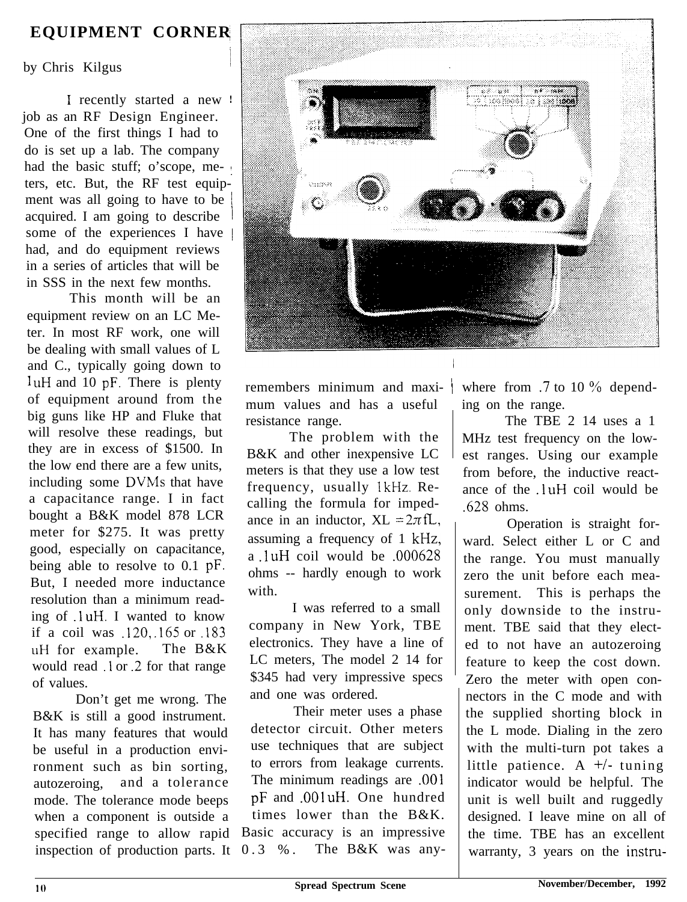## **EQUIPMENT CORNER**

by Chris Kilgus

I recently started a new ! job as an RF Design Engineer. One of the first things I had to do is set up a lab. The company had the basic stuff; o'scope, me- : ters, etc. But, the RF test equipment was all going to have to be acquired. I am going to describe some of the experiences I have  $\vert$ had, and do equipment reviews in a series of articles that will be in SSS in the next few months.

This month will be an equipment review on an LC Meter. In most RF work, one will be dealing with small values of L and C., typically going down to luH and 10 pF. There is plenty of equipment around from the big guns like HP and Fluke that will resolve these readings, but they are in excess of \$1500. In the low end there are a few units, including some DVMs that have a capacitance range. I in fact bought a B&K model 878 LCR meter for \$275. It was pretty good, especially on capacitance, being able to resolve to 0.1 pF. But, I needed more inductance resolution than a minimum reading of luH. I wanted to know if a coil was .120, .165 or .183 **uH** for example. The B&K would read .l or .2 for that range of values.

Don't get me wrong. The B&K is still a good instrument. It has many features that would be useful in a production environment such as bin sorting, autozeroing, and a tolerance mode. The tolerance mode beeps when a component is outside a specified range to allow rapid inspection of production parts. It



remembers minimum and maxi- / mum values and has a useful resistance range.

The problem with the B&K and other inexpensive LC meters is that they use a low test frequency, usually 1kHz. Recalling the formula for impedance in an inductor,  $XL = 2\pi fL$ , assuming a frequency of 1 kHz, a .1 uH coil would be **.000628** ohms -- hardly enough to work with.

I was referred to a small company in New York, TBE electronics. They have a line of LC meters, The model 2 14 for \$345 had very impressive specs and one was ordered.

Their meter uses a phase detector circuit. Other meters use techniques that are subject to errors from leakage currents. The minimum readings are .OOl pF and .OOl uH. One hundred times lower than the B&K. Basic accuracy is an impressive 0.3 %. The B&K was anywhere from  $.7$  to 10  $\%$  depending on the range.

The TBE 2 14 uses a 1 MHz test frequency on the lowest ranges. Using our example from before, the inductive reactance of the .l uH coil would be .628 ohms.

Operation is straight forward. Select either L or C and the range. You must manually zero the unit before each measurement. This is perhaps the only downside to the instrument. TBE said that they elected to not have an autozeroing feature to keep the cost down. Zero the meter with open connectors in the C mode and with the supplied shorting block in the L mode. Dialing in the zero with the multi-turn pot takes a little patience. A  $+/-$  tuning indicator would be helpful. The unit is well built and ruggedly designed. I leave mine on all of the time. TBE has an excellent warranty, 3 years on the instru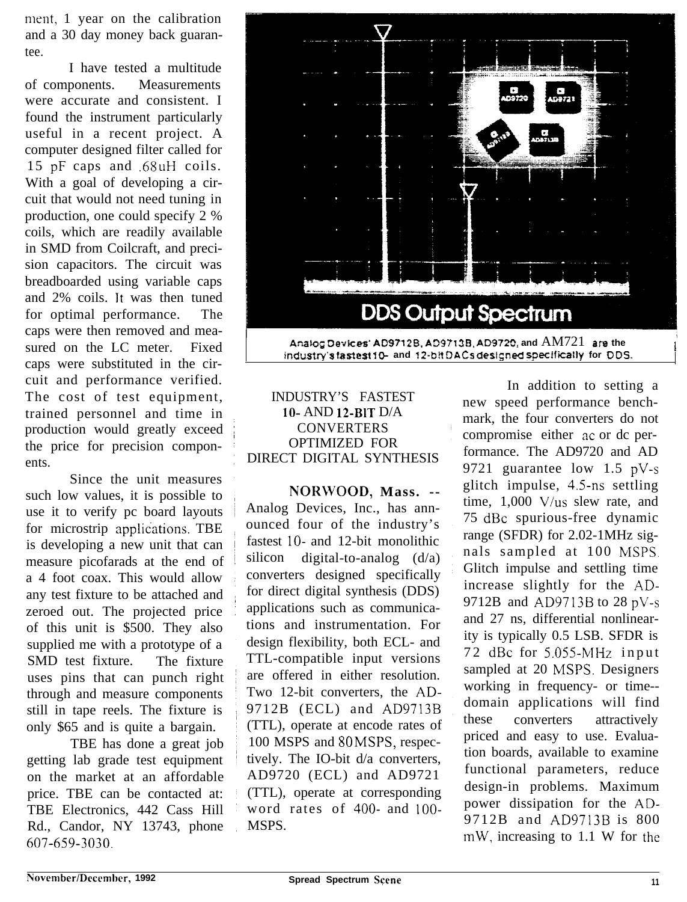ment, 1 year on the calibration and a 30 day money back guarantee.

I have tested a multitude of components. Measurements were accurate and consistent. I found the instrument particularly useful in a recent project. A computer designed filter called for 15 pF caps and .68uH coils. With a goal of developing a circuit that would not need tuning in production, one could specify 2 % coils, which are readily available in SMD from Coilcraft, and precision capacitors. The circuit was breadboarded using variable caps and 2% coils. It was then tuned for optimal performance. The caps were then removed and measured on the LC meter. Fixed caps were substituted in the circuit and performance verified. The cost of test equipment, trained personnel and time in production would greatly exceed the price for precision components.

Since the unit measures such low values, it is possible to use it to verify pc board layouts for microstrip applications. TBE is developing a new unit that can measure picofarads at the end of a 4 foot coax. This would allow any test fixture to be attached and zeroed out. The projected price of this unit is \$500. They also supplied me with a prototype of a SMD test fixture. The fixture uses pins that can punch right through and measure components still in tape reels. The fixture is only \$65 and is quite a bargain.

TBE has done a great job getting lab grade test equipment on the market at an affordable price. TBE can be contacted at: TBE Electronics, 442 Cass Hill Rd., Candor, NY 13743, phone 607-659-3030.



Analog Devices' AD9712B, AD9713B, AD9720, and  $AM721$  are the **industry's fastest 1% and It-bit DACS desl;ned specfficatfy for DDS.**

#### INDUSTRY'S FASTEST lo- AND 12-BlT D/A **CONVERTERS** OPTIMIZED FOR DIRECT DIGITAL SYNTHESIS

**NORWOOD, Mass. --** Analog Devices, Inc., has announced four of the industry's fastest 10- and 12-bit monolithic silicon digital-to-analog  $(d/a)$ converters designed specifically for direct digital synthesis (DDS) applications such as communications and instrumentation. For design flexibility, both ECL- and TTL-compatible input versions are offered in either resolution. Two 12-bit converters, the AD-9712B (ECL) and AD9713B (TTL), operate at encode rates of 100 MSPS and 80 MSPS, respectively. The IO-bit d/a converters, AD9720 (ECL) and AD9721 (TTL), operate at corresponding word rates of 400- and IOO-MSPS.

In addition to setting a new speed performance benchmark, the four converters do not compromise either ac or dc performance. The AD9720 and AD 9721 guarantee low 1.5 pV-s glitch impulse, 4.5-ns settling time, 1,000 V/us slew rate, and 75 dBc spurious-free dynamic range (SFDR) for 2.02-1MHz signals sampled at 100 MSPS. Glitch impulse and settling time increase slightly for the AD-9712B and AD9713B to 28 pV-s and 27 ns, differential nonlinearity is typically 0.5 LSB. SFDR is 72 dBc for 5.055-MHz input sampled at 20 MSPS. Designers working in frequency- or time- domain applications will find these converters attractively priced and easy to use. Evaluation boards, available to examine functional parameters, reduce design-in problems. Maximum power dissipation for the AD-9712B and AD9713B is 800 mW, increasing to 1.1 W for the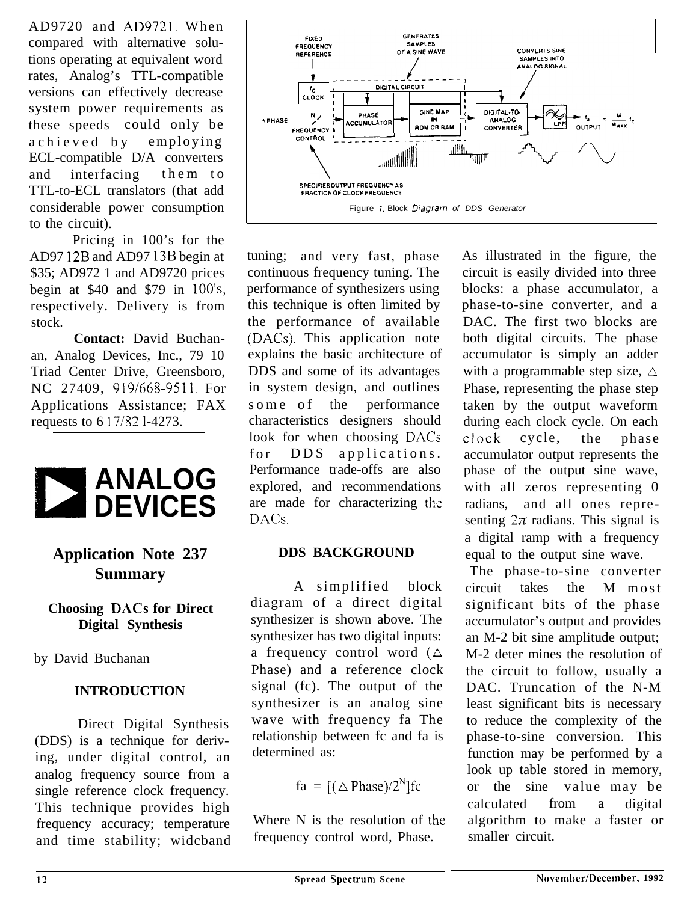AD9720 and AD9721. When compared with alternative solutions operating at equivalent word rates, Analog's TTL-compatible versions can effectively decrease system power requirements as these speeds could only be achieved by employing ECL-compatible D/A converters and interfacing them to TTL-to-ECL translators (that add considerable power consumption to the circuit).

Pricing in 100's for the AD97 12B and AD97 13B begin at \$35; AD972 1 and AD9720 prices begin at \$40 and \$79 in 100's, respectively. Delivery is from stock.

**Contact:** David Buchanan, Analog Devices, Inc., 79 10 Triad Center Drive, Greensboro, NC 27409, 919/668-9511. For Applications Assistance; FAX requests to 6 17/52 l-4273.



## **Application Note 237 Summary**

### **Choosing DACs for Direct Digital Synthesis**

by David Buchanan

### **INTRODUCTION**

Direct Digital Synthesis (DDS) is a technique for deriving, under digital control, an analog frequency source from a single reference clock frequency. This technique provides high frequency accuracy; temperature and time stability; widcband



tuning; and very fast, phase continuous frequency tuning. The performance of synthesizers using this technique is often limited by the performance of available (DACs). This application note explains the basic architecture of DDS and some of its advantages in system design, and outlines some of the performance characteristics designers should look for when choosing DACs for DDS applications. Performance trade-offs are also explored, and recommendations are made for characterizing the DACs.

### **DDS BACKGROUND**

A simplified block diagram of a direct digital synthesizer is shown above. The synthesizer has two digital inputs: a frequency control word  $(\triangle$ Phase) and a reference clock signal (fc). The output of the synthesizer is an analog sine wave with frequency fa The relationship between fc and fa is determined as:

$$
fa = [(\triangle \text{Phase})/2^N]fc
$$

Where N is the resolution of the frequency control word, Phase.

As illustrated in the figure, the circuit is easily divided into three blocks: a phase accumulator, a phase-to-sine converter, and a DAC. The first two blocks are both digital circuits. The phase accumulator is simply an adder with a programmable step size,  $\triangle$ Phase, representing the phase step taken by the output waveform during each clock cycle. On each ciock cycle, the phase accumulator output represents the phase of the output sine wave, with all zeros representing 0 radians, and all ones representing  $2\pi$  radians. This signal is a digital ramp with a frequency equal to the output sine wave.

The phase-to-sine converter circuit takes the M most significant bits of the phase accumulator's output and provides an M-2 bit sine amplitude output; M-2 deter mines the resolution of the circuit to follow, usually a DAC. Truncation of the N-M least significant bits is necessary to reduce the complexity of the phase-to-sine conversion. This function may be performed by a look up table stored in memory, or the sine value may be calculated from a digital algorithm to make a faster or smaller circuit.

-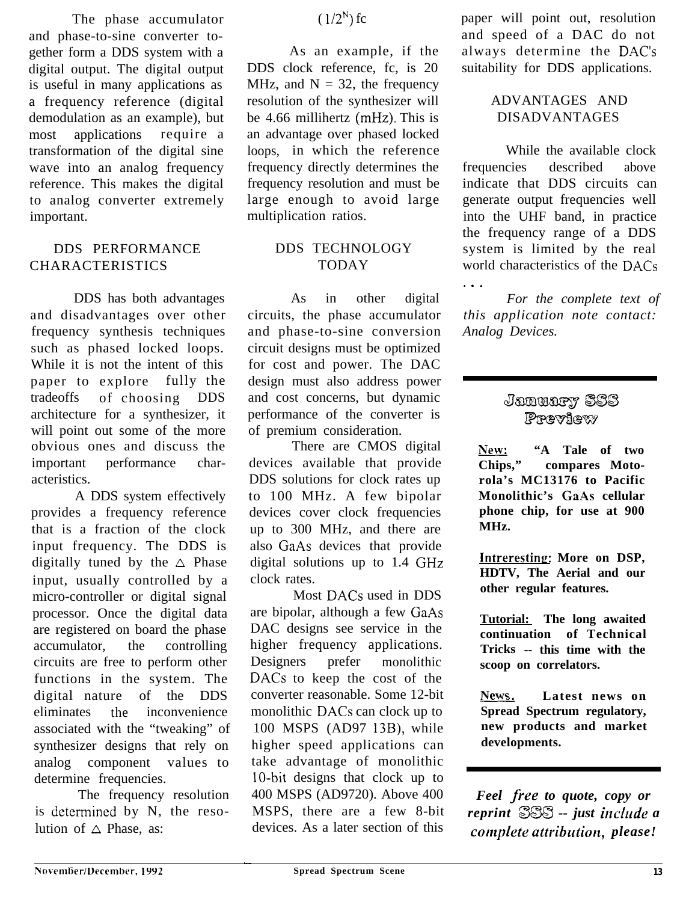The phase accumulator and phase-to-sine converter together form a DDS system with a digital output. The digital output is useful in many applications as a frequency reference (digital demodulation as an example), but most applications require a transformation of the digital sine wave into an analog frequency reference. This makes the digital to analog converter extremely important.

## CHARACTERISTICS TODAY

DDS has both advantages and disadvantages over other frequency synthesis techniques such as phased locked loops. While it is not the intent of this paper to explore fully the tradeoffs of choosing DDS architecture for a synthesizer, it will point out some of the more obvious ones and discuss the important performance characteristics.

A DDS system effectively provides a frequency reference that is a fraction of the clock input frequency. The DDS is digitally tuned by the  $\triangle$  Phase input, usually controlled by a micro-controller or digital signal processor. Once the digital data are registered on board the phase accumulator, the controlling circuits are free to perform other functions in the system. The digital nature of the DDS eliminates the inconvenience associated with the "tweaking" of synthesizer designs that rely on analog component values to determine frequencies.

The frequency resolution is determined by N, the resolution of  $\triangle$  Phase, as:

### $(1/2^N)$  fc

As an example, if the DDS clock reference, fc, is 20 MHz, and  $N = 32$ , the frequency resolution of the synthesizer will be 4.66 millihertz (mHz). This is an advantage over phased locked loops, in which the reference frequency directly determines the frequency resolution and must be large enough to avoid large multiplication ratios.

## DDS PERFORMANCE DDS TECHNOLOGY

As in other digital circuits, the phase accumulator and phase-to-sine conversion circuit designs must be optimized for cost and power. The DAC design must also address power and cost concerns, but dynamic performance of the converter is of premium consideration.

There are CMOS digital devices available that provide DDS solutions for clock rates up to 100 MHz. A few bipolar devices cover clock frequencies up to 300 MHz, and there are also GaAs devices that provide digital solutions up to 1.4 GHz clock rates.

Most DACs used in DDS are bipolar, although a few GaAs DAC designs see service in the higher frequency applications. Designers prefer monolithic DACs to keep the cost of the converter reasonable. Some 12-bit monolithic DACs can clock up to 100 MSPS (AD97 13B), while higher speed applications can take advantage of monolithic lo-bit designs that clock up to 400 MSPS (AD9720). Above 400 MSPS, there are a few 8-bit devices. As a later section of this

paper will point out, resolution and speed of a DAC do not always determine the DAC's suitability for DDS applications.

### ADVANTAGES AND DISADVANTAGES

While the available clock frequencies described above indicate that DDS circuits can generate output frequencies well into the UHF band, in practice the frequency range of a DDS system is limited by the real world characteristics of the DACs . . .

*For the complete text of this application note contact: Analog Devices.*

# January SSS

**A**<sup>2</sup>**PPEVIEW**<br> **EXECUTE:** "A Tale of two<br> **Chips,"** compares Moto-**Chips," compares Motorola's MC13176 to Pacific Monolithic's GaAs cellular phone chip, for use at 900 MHz.**

**Intreresting: More on DSP, HDTV, The Aerial and our other regular features.**

**Tutorial: The long awaited continuation of Technical Tricks -- this time with the**

**scoop on correlators.**<br> **News.** Latest news on<br> **Spread Spectrum requistory Spread Spectrum regulatory, new products and market developments.**

*Feel free to quote, copy or reprint 86X3 -- just include a complete attribution*, *please!* 

-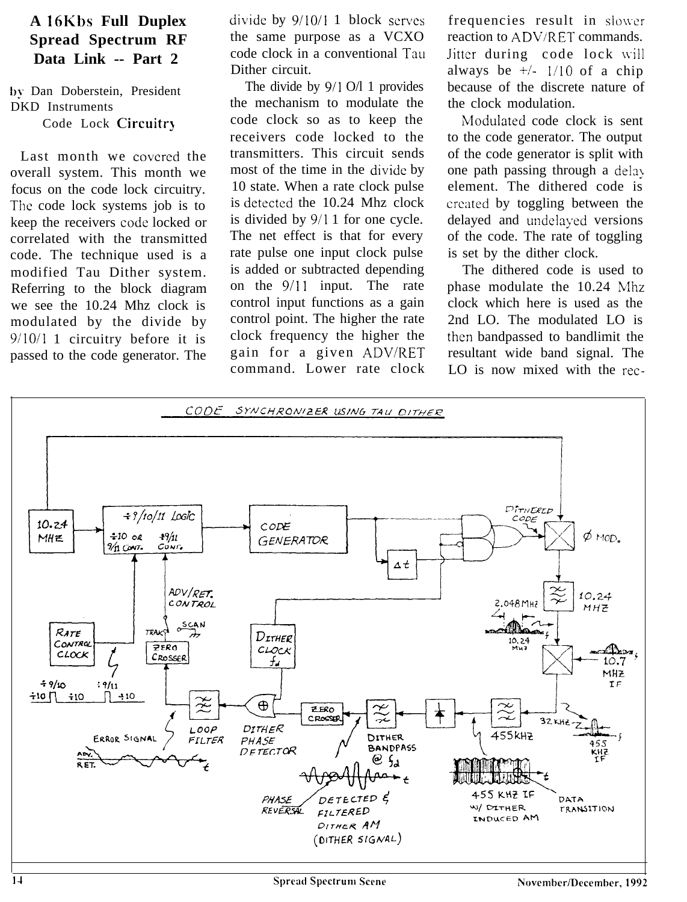## **A 16Kbs Full Duplex Spread Spectrum RF Data Link -- Part 2**

by Dan Doberstein, President DKD Instruments

Code Lock Circuitry

Last month we covered the overall system. This month we focus on the code lock circuitry. The code lock systems job is to keep the receivers code locked or correlated with the transmitted code. The technique used is a modified Tau Dither system. Referring to the block diagram we see the 10.24 Mhz clock is modulated by the divide by 9/10/l 1 circuitry before it is passed to the code generator. The

divide by  $9/10/1$  1 block serves frequencies result in slower the same purpose as a VCXO reaction to ADV/RET commands. code clock in a conventional Tau Jitter during code lock will Dither circuit. always be  $\frac{1}{10}$  of a chip

the mechanism to modulate the the clock modulation. code clock so as to keep the Modulated code clock is sent receivers code locked to the to the code generator. The output transmitters. This circuit sends of the code generator is split with most of the time in the divide by one path passing through a delay 10 state. When a rate clock pulse element. The dithered code is is detected the 10.24 Mhz clock created by toggling between the is divided by 9/1 1 for one cycle. delayed and undelayed versions The net effect is that for every of the code. The rate of toggling rate pulse one input clock pulse is set by the dither clock. is added or subtracted depending The dithered code is used to control input functions as a gain clock which here is used as the control point. The higher the rate 2nd LO. The modulated LO is

The divide by 9/1 O/l 1 provides because of the discrete nature of

on the  $9/11$  input. The rate phase modulate the  $10.24$  Mhz clock frequency the higher the then bandpassed to bandlimit the gain for a given ADV/RET resultant wide band signal. The command. Lower rate clock LO is now mixed with the rec-

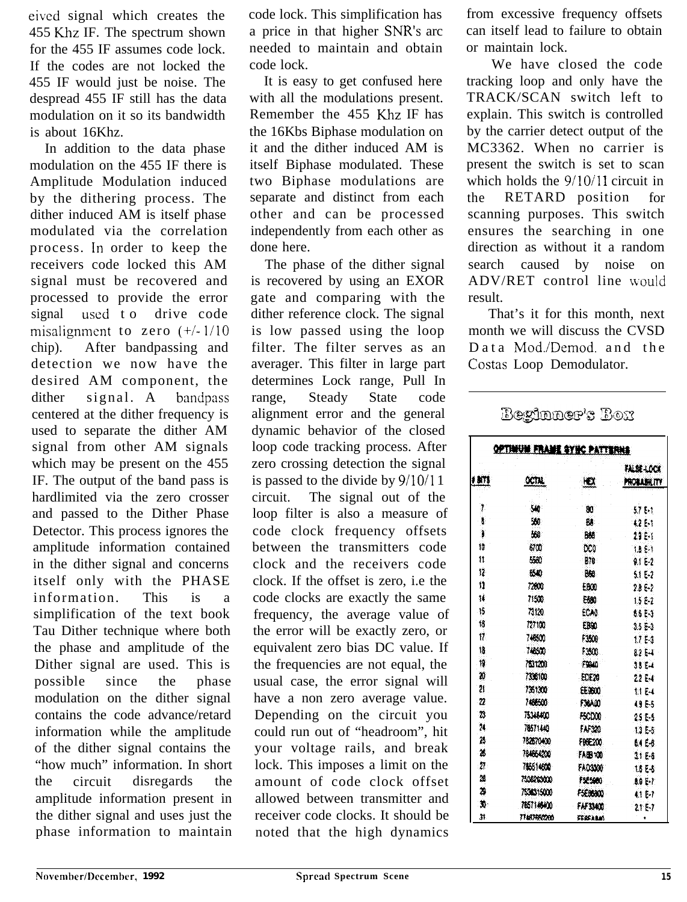eived signal which creates the 455 Khz IF. The spectrum shown for the 455 IF assumes code lock. If the codes are not locked the 455 IF would just be noise. The despread 455 IF still has the data modulation on it so its bandwidth is about 16Khz.

In addition to the data phase modulation on the 455 IF there is Amplitude Modulation induced by the dithering process. The dither induced AM is itself phase modulated via the correlation process. In order to keep the receivers code locked this AM signal must be recovered and processed to provide the error signal used to drive code misalignment to zero  $(+/-1/10)$ chip). After bandpassing and detection we now have the desired AM component, the dither signal. A bandpass centered at the dither frequency is used to separate the dither AM signal from other AM signals which may be present on the 455 IF. The output of the band pass is hardlimited via the zero crosser and passed to the Dither Phase Detector. This process ignores the amplitude information contained in the dither signal and concerns itself only with the PHASE information. This is a simplification of the text book Tau Dither technique where both the phase and amplitude of the Dither signal are used. This is possible since the phase modulation on the dither signal contains the code advance/retard information while the amplitude of the dither signal contains the "how much" information. In short the circuit disregards the amplitude information present in the dither signal and uses just the phase information to maintain

code lock. This simplification has a price in that higher SNR's arc needed to maintain and obtain code lock.

It is easy to get confused here with all the modulations present. Remember the 455 Khz IF has the 16Kbs Biphase modulation on it and the dither induced AM is itself Biphase modulated. These two Biphase modulations are separate and distinct from each other and can be processed independently from each other as done here.

The phase of the dither signal is recovered by using an EXOR gate and comparing with the dither reference clock. The signal is low passed using the loop filter. The filter serves as an averager. This filter in large part determines Lock range, Pull In range, Steady State code alignment error and the general dynamic behavior of the closed loop code tracking process. After zero crossing detection the signal is passed to the divide by 9/10/l 1 circuit. The signal out of the loop filter is also a measure of code clock frequency offsets between the transmitters code clock and the receivers code clock. If the offset is zero, i.e the code clocks are exactly the same frequency, the average value of the error will be exactly zero, or equivalent zero bias DC value. If the frequencies are not equal, the usual case, the error signal will have a non zero average value. Depending on the circuit you could run out of "headroom", hit your voltage rails, and break lock. This imposes a limit on the amount of code clock offset allowed between transmitter and receiver code clocks. It should be noted that the high dynamics

from excessive frequency offsets can itself lead to failure to obtain or maintain lock.

We have closed the code tracking loop and only have the TRACK/SCAN switch left to explain. This switch is controlled by the carrier detect output of the MC3362. When no carrier is present the switch is set to scan which holds the  $9/10/11$  circuit in the RETARD position for scanning purposes. This switch ensures the searching in one direction as without it a random search caused by noise on ADV/RET control line would result.

That's it for this month, next month we will discuss the CVSD Data Mod./Demod. and the Costas Loop Demodulator.

| OPTIMUM FRAME SYNC PATTERNS |                 |                |                                 |  |  |
|-----------------------------|-----------------|----------------|---------------------------------|--|--|
| † 8175                      | octal           | Ю              | FALSE-LOCK<br><b>PROBABLITY</b> |  |  |
|                             |                 |                |                                 |  |  |
| 7                           | 540             | 80.            | -57 E-1                         |  |  |
| -8                          | 30              | ₿₿.            | <b>R2 E-T</b>                   |  |  |
| Ĵ.                          | 568             | 888            | 29 E-1                          |  |  |
| 10                          | 6700            | DC0            | 1881                            |  |  |
| Ħ                           | 5530            | -878           | 9.1 E-2                         |  |  |
| 12                          | 6540            | -868           | 51.52                           |  |  |
| 11                          | 72600           | EBOO           | 28E2                            |  |  |
| Ħ                           | 71500           | 5600           | $1.5E - 2$                      |  |  |
| -15                         | 71120           | ECAO           | 86 F-3                          |  |  |
| 18                          | 727100          | EB10           | $3.5E-3$                        |  |  |
| Ħ.                          | 746500          | F3508          | 1753                            |  |  |
| 1â                          | 748500          | 13500          | 8254                            |  |  |
| 19                          | 7831200         | F9840          | 38.54                           |  |  |
| 20.                         | 7336100         | - EDE20        | 22 E-4                          |  |  |
| Žî                          | 7361300         | EE980          | ti E4                           |  |  |
| 22                          | 148500          | <b>F36A00</b>  | <b>49 F-5</b>                   |  |  |
| 23                          | <b>75348400</b> | <b>PSCD00</b>  | 25 F.S                          |  |  |
| 24.                         | 78571440        | FAF320         | 13E <sub>5</sub>                |  |  |
| 25                          | 782670400       | FREE200        | 64 E-8.                         |  |  |
| 26                          | 784664200       | <b>FABENO</b>  | 2186                            |  |  |
| n.                          | 715611600       | FA03300        | <b>USE-5</b>                    |  |  |
| 21                          | 7536263000      | 195960         |                                 |  |  |
| 2                           | 7530315000      | FSEBBADD       | 80 E T                          |  |  |
| 势.                          | 7657146400      | FAF33433       | 41 E 7                          |  |  |
| Ħ.                          | 77487456200     | <b>FEREARM</b> | 21E7                            |  |  |

### Beginner's Box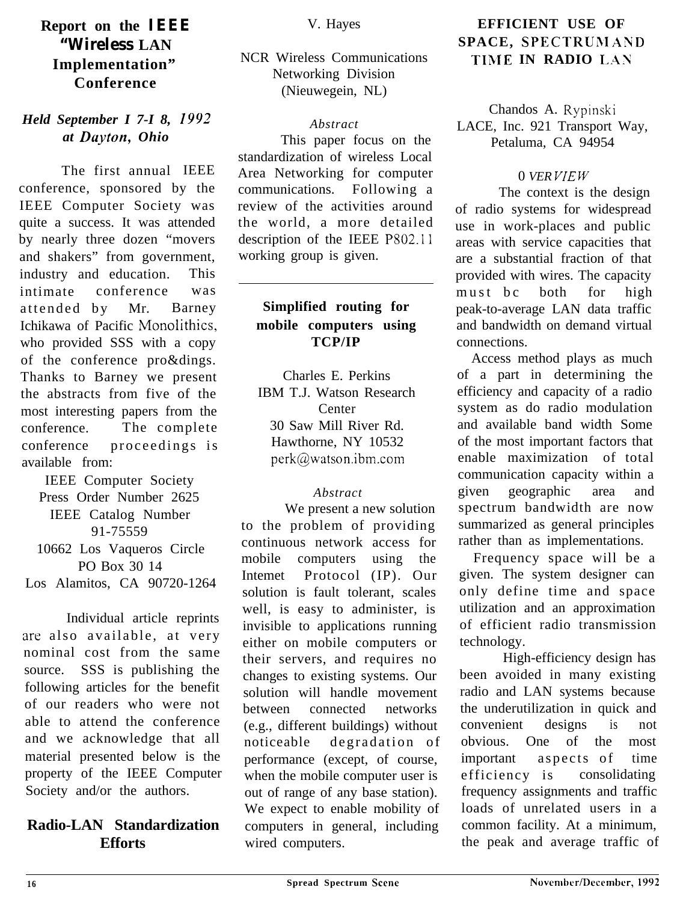## **Report on the IEEE "Wireless LAN Implementation" Conference**

### *Held September I 7-I 8,* **19Y2** *at Duyton, Ohio*

The first annual IEEE conference, sponsored by the IEEE Computer Society was quite a success. It was attended by nearly three dozen "movers and shakers" from government, industry and education. This intimate conference was attended by Mr. Barney Ichikawa of Pacific Monolithics, who provided SSS with a copy of the conference pro&dings. Thanks to Barney we present the abstracts from five of the most interesting papers from the conference. The complete conference proceedings is available from:

IEEE Computer Society Press Order Number 2625 IEEE Catalog Number 91-75559 10662 Los Vaqueros Circle PO Box 30 14

Los Alamitos, CA 90720-1264

Individual article reprints arc also available, at very nominal cost from the same source. SSS is publishing the following articles for the benefit of our readers who were not able to attend the conference and we acknowledge that all material presented below is the property of the IEEE Computer Society and/or the authors.

### **Radio-LAN Standardization Efforts**

NCR Wireless Communications Networking Division (Nieuwegein, NL)

### *Abstract*

This paper focus on the standardization of wireless Local Area Networking for computer communications. Following a review of the activities around the world, a more detailed description of the IEEE P802.11 working group is given.

### **Simplified routing for mobile computers using TCP/IP**

Charles E. Perkins IBM T.J. Watson Research **Center** 30 Saw Mill River Rd. Hawthorne, NY 10532 perk@watson.ibm.com

### *Abstract*

We present a new solution to the problem of providing continuous network access for mobile computers using the Intemet Protocol (IP). Our solution is fault tolerant, scales well, is easy to administer, is invisible to applications running either on mobile computers or their servers, and requires no changes to existing systems. Our solution will handle movement between connected networks (e.g., different buildings) without noticeable degradation of performance (except, of course, when the mobile computer user is out of range of any base station). We expect to enable mobility of computers in general, including wired computers.

### **EFFICIENT USE OF SPACE, SPECTRUMAND TIME IN RADIO LAN**

Chandos A. Rypinski LACE, Inc. 921 Transport Way, Petaluma, CA 94954

### 0 *VER V/E W*

The context is the design of radio systems for widespread use in work-places and public areas with service capacities that are a substantial fraction of that provided with wires. The capacity must bc both for high peak-to-average LAN data traffic and bandwidth on demand virtual connections.

Access method plays as much of a part in determining the efficiency and capacity of a radio system as do radio modulation and available band width Some of the most important factors that enable maximization of total communication capacity within a given geographic area and spectrum bandwidth are now summarized as general principles rather than as implementations.

Frequency space will be a given. The system designer can only define time and space utilization and an approximation of efficient radio transmission technology.

High-efficiency design has been avoided in many existing radio and LAN systems because the underutilization in quick and convenient designs is not obvious. One of the most important aspects of time efficiency is consolidating frequency assignments and traffic loads of unrelated users in a common facility. At a minimum, the peak and average traffic of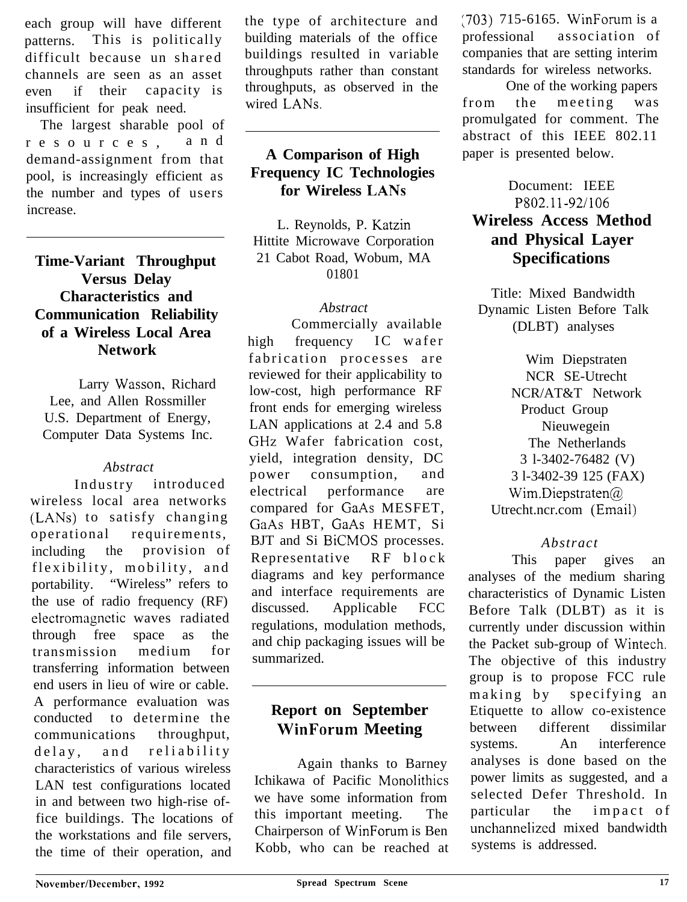each group will have different patterns. This is politically difficult because un shared channels are seen as an asset even if their capacity is insufficient for peak need.

The largest sharable pool of resources, and demand-assignment from that pool, is increasingly efficient as the number and types of users increase.

### **Time-Variant Throughput Versus Delay Characteristics and Communication Reliability of a Wireless Local Area Network**

Larry Wasson, Richard Lee, and Allen Rossmiller U.S. Department of Energy, Computer Data Systems Inc.

### *Abstract*

Industry introduced wireless local area networks (LANs) to satisfy changing operational requirements, including the provision of flexibility, mobility, and portability. "Wireless" refers to the use of radio frequency (RF) electromagnetic waves radiated through free space as the transmission medium for transferring information between end users in lieu of wire or cable. A performance evaluation was conducted to determine the communications throughput, delay, and reliability characteristics of various wireless LAN test configurations located in and between two high-rise office buildings. The locations of the workstations and file servers, the time of their operation, and

the type of architecture and building materials of the office buildings resulted in variable throughputs rather than constant throughputs, as observed in the wired LANs.

### **A Comparison of High Frequency IC Technologies for Wireless LANs**

L. Reynolds, P. Katzin Hittite Microwave Corporation 21 Cabot Road, Wobum, MA 01801

### *Abstract*

Commercially available high frequency IC wafer fabrication processes are reviewed for their applicability to low-cost, high performance RF front ends for emerging wireless LAN applications at 2.4 and 5.8 GHz Wafer fabrication cost, yield, integration density, DC power consumption, and electrical performance are compared for GaAs MESFET, GaAs HBT, GaAs HEMT, Si BJT and Si BiCMOS processes. Representative RF block diagrams and key performance and interface requirements are discussed. Applicable FCC regulations, modulation methods, and chip packaging issues will be summarized.

## **Report on September WinForum Meeting**

Again thanks to Barney Ichikawa of Pacific Monolithics we have some information from this important meeting. The Chairperson of WinForum is Ben Kobb, who can be reached at [703) 715-6165. WinForum is a professional association of companies that are setting interim standards for wireless networks.

One of the working papers from the meeting was promulgated for comment. The abstract of this IEEE 802.11 paper is presented below.

### Document: IEEE P802.1 l-92/106 **Wireless Access Method and Physical Layer Specifications**

Title: Mixed Bandwidth Dynamic Listen Before Talk (DLBT) analyses

Wim Diepstraten NCR SE-Utrecht NCR/AT&T Network Product Group Nieuwegein The Netherlands 3 l-3402-76482 (V) 3 l-3402-39 125 (FAX) Wim.Diepstraten@ Utrecht.ncr.com (Email)

### *Abstract*

This paper gives an analyses of the medium sharing characteristics of Dynamic Listen Before Talk (DLBT) as it is currently under discussion within the Packet sub-group of Wintech. The objective of this industry group is to propose FCC rule making by specifying an Etiquette to allow co-existence between different dissimilar systems. An interference analyses is done based on the power limits as suggested, and a selected Defer Threshold. In particular the impact of unchannelizcd mixed bandwidth systems is addressed.